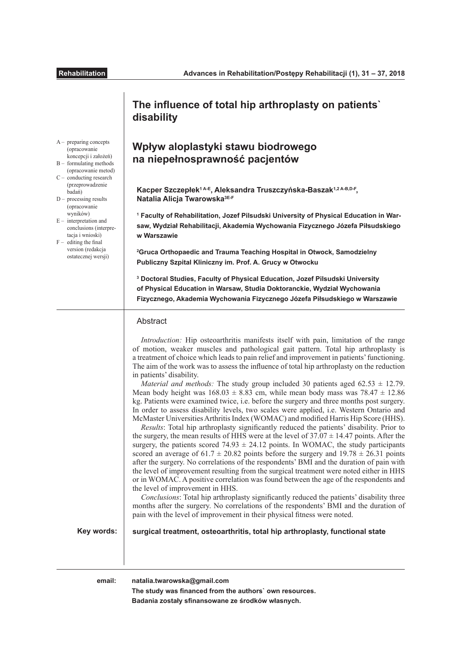|                                                                                                                                                                                                                                                                                                                                                                                                      | The influence of total hip arthroplasty on patients`<br>disability                                                                                                                                                                                                                                                                                                                                                                                                                                                                                                                                                                                                                                                                                                                                                                                                                                                                                                                                                                                                                                                                                                                                                                                                                                                                                                                                                                                                                                                                                                                                                                                                                                                                                                                                                                                             |
|------------------------------------------------------------------------------------------------------------------------------------------------------------------------------------------------------------------------------------------------------------------------------------------------------------------------------------------------------------------------------------------------------|----------------------------------------------------------------------------------------------------------------------------------------------------------------------------------------------------------------------------------------------------------------------------------------------------------------------------------------------------------------------------------------------------------------------------------------------------------------------------------------------------------------------------------------------------------------------------------------------------------------------------------------------------------------------------------------------------------------------------------------------------------------------------------------------------------------------------------------------------------------------------------------------------------------------------------------------------------------------------------------------------------------------------------------------------------------------------------------------------------------------------------------------------------------------------------------------------------------------------------------------------------------------------------------------------------------------------------------------------------------------------------------------------------------------------------------------------------------------------------------------------------------------------------------------------------------------------------------------------------------------------------------------------------------------------------------------------------------------------------------------------------------------------------------------------------------------------------------------------------------|
| $A-$ preparing concepts<br>(opracowanie<br>koncepcji i założeń)<br>$B -$ formulating methods<br>(opracowanie metod)<br>$C-$ conducting research<br>(przeprowadzenie<br>badań)<br>$D -$ processing results<br>(opracowanie<br>wyników)<br>$E$ – interpretation and<br>conclusions (interpre-<br>tacja i wnioski)<br>$F -$ editing the final<br>version (redakcja<br>ostatecznej wersji)<br>Key words: | Wpływ aloplastyki stawu biodrowego<br>na niepełnosprawność pacjentów<br>Kacper Szczepłek <sup>1A-E</sup> , Aleksandra Truszczyńska-Baszak <sup>1,2 A-B,D-F</sup> ,<br>Natalia Alicja Twarowska <sup>3E-F</sup><br><sup>1</sup> Faculty of Rehabilitation, Jozef Pilsudski University of Physical Education in War-<br>saw, Wydział Rehabilitacji, Akademia Wychowania Fizycznego Józefa Piłsudskiego<br>w Warszawie                                                                                                                                                                                                                                                                                                                                                                                                                                                                                                                                                                                                                                                                                                                                                                                                                                                                                                                                                                                                                                                                                                                                                                                                                                                                                                                                                                                                                                            |
|                                                                                                                                                                                                                                                                                                                                                                                                      | <sup>2</sup> Gruca Orthopaedic and Trauma Teaching Hospital in Otwock, Samodzielny<br>Publiczny Szpital Kliniczny im. Prof. A. Grucy w Otwocku<br><sup>3</sup> Doctoral Studies, Faculty of Physical Education, Jozef Pilsudski University<br>of Physical Education in Warsaw, Studia Doktoranckie, Wydział Wychowania<br>Fizycznego, Akademia Wychowania Fizycznego Józefa Piłsudskiego w Warszawie                                                                                                                                                                                                                                                                                                                                                                                                                                                                                                                                                                                                                                                                                                                                                                                                                                                                                                                                                                                                                                                                                                                                                                                                                                                                                                                                                                                                                                                           |
|                                                                                                                                                                                                                                                                                                                                                                                                      | Abstract<br>Introduction: Hip osteoarthritis manifests itself with pain, limitation of the range<br>of motion, weaker muscles and pathological gait pattern. Total hip arthroplasty is<br>a treatment of choice which leads to pain relief and improvement in patients' functioning.<br>The aim of the work was to assess the influence of total hip arthroplasty on the reduction<br>in patients' disability.<br><i>Material and methods:</i> The study group included 30 patients aged $62.53 \pm 12.79$ .<br>Mean body height was $168.03 \pm 8.83$ cm, while mean body mass was $78.47 \pm 12.86$<br>kg. Patients were examined twice, i.e. before the surgery and three months post surgery.<br>In order to assess disability levels, two scales were applied, i.e. Western Ontario and<br>McMaster Universities Arthritis Index (WOMAC) and modified Harris Hip Score (HHS).<br>Results: Total hip arthroplasty significantly reduced the patients' disability. Prior to<br>the surgery, the mean results of HHS were at the level of $37.07 \pm 14.47$ points. After the<br>surgery, the patients scored $74.93 \pm 24.12$ points. In WOMAC, the study participants<br>scored an average of $61.7 \pm 20.82$ points before the surgery and $19.78 \pm 26.31$ points<br>after the surgery. No correlations of the respondents' BMI and the duration of pain with<br>the level of improvement resulting from the surgical treatment were noted either in HHS<br>or in WOMAC. A positive correlation was found between the age of the respondents and<br>the level of improvement in HHS.<br>Conclusions: Total hip arthroplasty significantly reduced the patients' disability three<br>months after the surgery. No correlations of the respondents' BMI and the duration of<br>pain with the level of improvement in their physical fitness were noted. |

**The study was fnanced from the authors` own resources. Badania zostały sfnansowane ze środków własnych.**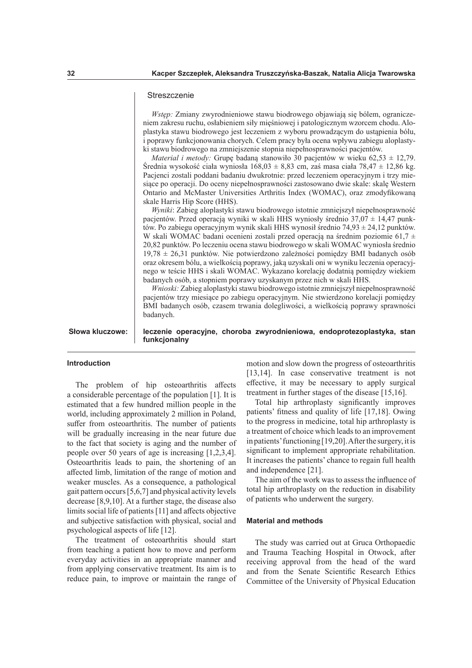### **Streszczenie**

*Wstęp:* Zmiany zwyrodnieniowe stawu biodrowego objawiają się bólem, ograniczeniem zakresu ruchu, osłabieniem siły mięśniowej i patologicznym wzorcem chodu. Aloplastyka stawu biodrowego jest leczeniem z wyboru prowadzącym do ustąpienia bólu, i poprawy funkcjonowania chorych. Celem pracy była ocena wpływu zabiegu aloplastyki stawu biodrowego na zmniejszenie stopnia niepełnosprawności pacjentów.

*Material i metody:* Grupę badaną stanowiło 30 pacjentów w wieku 62,53 ± 12,79. Średnia wysokość ciała wyniosła 168,03 ± 8,83 cm, zaś masa ciała 78,47 ± 12,86 kg. Pacjenci zostali poddani badaniu dwukrotnie: przed leczeniem operacyjnym i trzy miesiące po operacji. Do oceny niepełnosprawności zastosowano dwie skale: skalę Western Ontario and McMaster Universities Arthritis Index (WOMAC), oraz zmodyfkowaną skale Harris Hip Score (HHS).

*Wyniki*: Zabieg aloplastyki stawu biodrowego istotnie zmniejszył niepełnosprawność pacjentów. Przed operacją wyniki w skali HHS wyniosły średnio 37,07 ± 14,47 punktów. Po zabiegu operacyjnym wynik skali HHS wynosił średnio 74,93 ± 24,12 punktów. W skali WOMAC badani ocenieni zostali przed operacją na średnim poziomie 61,7  $\pm$ 20,82 punktów. Po leczeniu ocena stawu biodrowego w skali WOMAC wyniosła średnio 19,78 ± 26,31 punktów. Nie potwierdzono zależności pomiędzy BMI badanych osób oraz okresem bólu, a wielkością poprawy, jaką uzyskali oni w wyniku leczenia operacyjnego w teście HHS i skali WOMAC. Wykazano korelację dodatnią pomiędzy wiekiem badanych osób, a stopniem poprawy uzyskanym przez nich w skali HHS.

*Wnioski:* Zabieg aloplastyki stawu biodrowego istotnie zmniejszył niepełnosprawność pacjentów trzy miesiące po zabiegu operacyjnym. Nie stwierdzono korelacji pomiędzy BMI badanych osób, czasem trwania dolegliwości, a wielkością poprawy sprawności badanych.

**leczenie operacyjne, choroba zwyrodnieniowa, endoprotezoplastyka, stan funkcjonalny**

# **Introduction**

**Słowa kluczowe:**

The problem of hip osteoarthritis affects a considerable percentage of the population [1]. It is estimated that a few hundred million people in the world, including approximately 2 million in Poland, suffer from osteoarthritis. The number of patients will be gradually increasing in the near future due to the fact that society is aging and the number of people over 50 years of age is increasing [1,2,3,4]. Osteoarthritis leads to pain, the shortening of an afected limb, limitation of the range of motion and weaker muscles. As a consequence, a pathological gait pattern occurs [5,6,7] and physical activity levels decrease [8,9,10]. At a further stage, the disease also limits social life of patients [11] and afects objective and subjective satisfaction with physical, social and psychological aspects of life [12].

The treatment of osteoarthritis should start from teaching a patient how to move and perform everyday activities in an appropriate manner and from applying conservative treatment. Its aim is to reduce pain, to improve or maintain the range of

motion and slow down the progress of osteoarthritis [13,14]. In case conservative treatment is not efective, it may be necessary to apply surgical treatment in further stages of the disease [15,16].

Total hip arthroplasty signifcantly improves patients' ftness and quality of life [17,18]. Owing to the progress in medicine, total hip arthroplasty is a treatment of choice which leads to an improvement in patients' functioning [19,20]. After the surgery, it is signifcant to implement appropriate rehabilitation. It increases the patients' chance to regain full health and independence [21].

The aim of the work was to assess the infuence of total hip arthroplasty on the reduction in disability of patients who underwent the surgery.

### **Material and methods**

The study was carried out at Gruca Orthopaedic and Trauma Teaching Hospital in Otwock, after receiving approval from the head of the ward and from the Senate Scientifc Research Ethics Committee of the University of Physical Education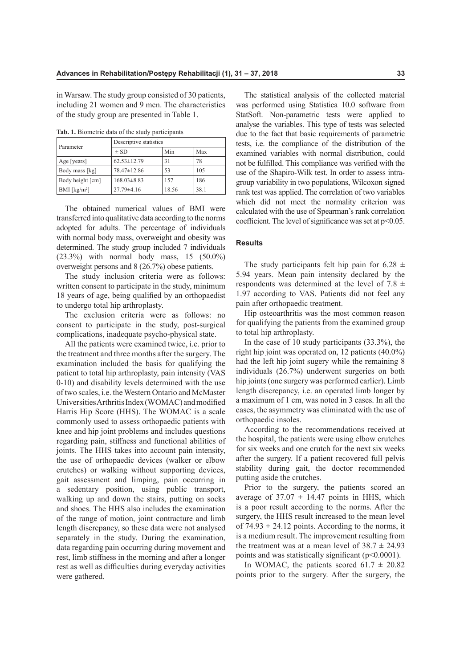in Warsaw. The study group consisted of 30 patients, including 21 women and 9 men. The characteristics of the study group are presented in Table 1.

**Tab. 1.** Biometric data of the study participants

| Parameter                  | Descriptive statistics |       |      |  |  |
|----------------------------|------------------------|-------|------|--|--|
|                            | $\pm$ SD               | Min   | Max  |  |  |
| Age [years]                | $62.53 \pm 12.79$      | 31    | 78   |  |  |
| Body mass [kg]             | 78.47±12.86            | 53    | 105  |  |  |
| Body height [cm]           | $168.03\pm8.83$        | 157   | 186  |  |  |
| $BMI$ [kg/m <sup>2</sup> ] | $27.79 \pm 4.16$       | 18.56 | 38.1 |  |  |

The obtained numerical values of BMI were transferred into qualitative data according to the norms adopted for adults. The percentage of individuals with normal body mass, overweight and obesity was determined. The study group included 7 individuals (23.3%) with normal body mass, 15 (50.0%)

was performed using Statistica 10.0 software from StatSoft. Non-parametric tests were applied to analyse the variables. This type of tests was selected due to the fact that basic requirements of parametric tests, i.e. the compliance of the distribution of the examined variables with normal distribution, could not be fulflled. This compliance was verifed with the use of the Shapiro-Wilk test. In order to assess intragroup variability in two populations, Wilcoxon signed rank test was applied. The correlation of two variables which did not meet the normality criterion was calculated with the use of Spearman's rank correlation coefficient. The level of significance was set at  $p<0.05$ .

The statistical analysis of the collected material

## **Results**

overweight persons and 8 (26.7%) obese patients. The study inclusion criteria were as follows: written consent to participate in the study, minimum 18 years of age, being qualifed by an orthopaedist to undergo total hip arthroplasty.

The exclusion criteria were as follows: no consent to participate in the study, post-surgical complications, inadequate psycho-physical state.

All the patients were examined twice, i.e. prior to the treatment and three months after the surgery. The examination included the basis for qualifying the patient to total hip arthroplasty, pain intensity (VAS 0-10) and disability levels determined with the use of two scales, i.e. the Western Ontario and McMaster Universities Arthritis Index (WOMAC) and modifed Harris Hip Score (HHS). The WOMAC is a scale commonly used to assess orthopaedic patients with knee and hip joint problems and includes questions regarding pain, stifness and functional abilities of joints. The HHS takes into account pain intensity, the use of orthopaedic devices (walker or elbow crutches) or walking without supporting devices, gait assessment and limping, pain occurring in a sedentary position, using public transport, walking up and down the stairs, putting on socks and shoes. The HHS also includes the examination of the range of motion, joint contracture and limb length discrepancy, so these data were not analysed separately in the study. During the examination, data regarding pain occurring during movement and rest, limb stifness in the morning and after a longer rest as well as difficulties during everyday activities were gathered.

The study participants felt hip pain for 6.28  $\pm$ 5.94 years. Mean pain intensity declared by the respondents was determined at the level of 7.8  $\pm$ 1.97 according to VAS. Patients did not feel any pain after orthopaedic treatment.

Hip osteoarthritis was the most common reason for qualifying the patients from the examined group to total hip arthroplasty.

In the case of 10 study participants (33.3%), the right hip joint was operated on, 12 patients (40.0%) had the left hip joint sugery while the remaining 8 individuals (26.7%) underwent surgeries on both hip joints (one surgery was performed earlier). Limb length discrepancy, i.e. an operated limb longer by a maximum of 1 cm, was noted in 3 cases. In all the cases, the asymmetry was eliminated with the use of orthopaedic insoles.

According to the recommendations received at the hospital, the patients were using elbow crutches for six weeks and one crutch for the next six weeks after the surgery. If a patient recovered full pelvis stability during gait, the doctor recommended putting aside the crutches.

Prior to the surgery, the patients scored an average of  $37.07 \pm 14.47$  points in HHS, which is a poor result according to the norms. After the surgery, the HHS result increased to the mean level of  $74.93 \pm 24.12$  points. According to the norms, it is a medium result. The improvement resulting from the treatment was at a mean level of  $38.7 \pm 24.93$ points and was statistically significant  $(p<0.0001)$ .

In WOMAC, the patients scored  $61.7 \pm 20.82$ points prior to the surgery. After the surgery, the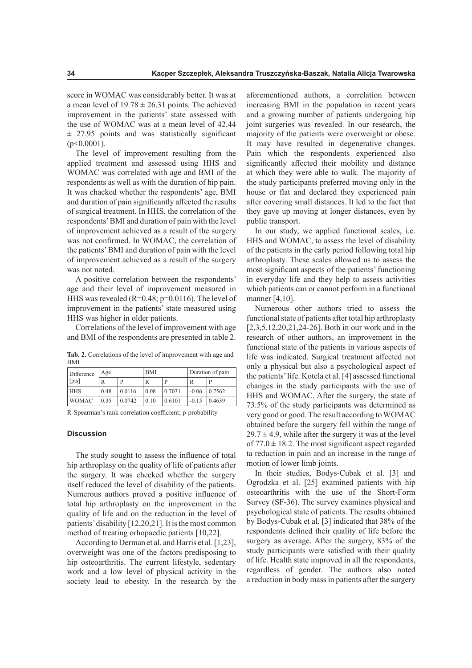score in WOMAC was considerably better. It was at a mean level of  $19.78 \pm 26.31$  points. The achieved improvement in the patients' state assessed with the use of WOMAC was at a mean level of 42.44  $\pm$  27.95 points and was statistically significant  $(p<0.0001)$ .

The level of improvement resulting from the applied treatment and assessed using HHS and WOMAC was correlated with age and BMI of the respondents as well as with the duration of hip pain. It was chacked whether the respondents' age, BMI and duration of pain signifcantly afected the results of surgical treatment. In HHS, the correlation of the respondents' BMI and duration of pain with the level of improvement achieved as a result of the surgery was not confrmed. In WOMAC, the correlation of the patients' BMI and duration of pain with the level of improvement achieved as a result of the surgery was not noted.

A positive correlation between the respondents' age and their level of improvement measured in HHS was revealed (R=0.48; p=0.0116). The level of improvement in the patients' state measured using HHS was higher in older patients.

Correlations of the level of improvement with age and BMI of the respondents are presented in table 2.

**Tab. 2.** Correlations of the level of improvement with age and **BMI** 

| Difference<br>[pts] | Age  |        | <b>BMI</b> |        | Duration of pain |        |
|---------------------|------|--------|------------|--------|------------------|--------|
|                     | R    | Þ      | R          | P      |                  | P      |
| <b>HHS</b>          | 0.48 | 0.0116 | 0.08       | 0.7031 | $-0.06$          | 0.7562 |
| <b>WOMAC</b>        | 0.35 | 0.0742 | 0.10       | 0.6101 | $-0.15$          | 0.4639 |

R-Spearman's rank correlation coefficient; p-probability

#### **Discussion**

The study sought to assess the infuence of total hip arthroplasy on the quality of life of patients after the surgery. It was checked whether the surgery itself reduced the level of disability of the patients. Numerous authors proved a positive infuence of total hip arthroplasty on the improvement in the quality of life and on the reduction in the level of patients' disability [12,20,21]. It is the most common method of treating orhopaedic patients [10,22].

According to Derman et al. and Harris et al. [1,23], overweight was one of the factors predisposing to hip osteoarthritis. The current lifestyle, sedentary work and a low level of physical activity in the society lead to obesity. In the research by the

aforementioned authors, a correlation between increasing BMI in the population in recent years and a growing number of patients undergoing hip joint surgeries was revealed. In our research, the majority of the patients were overweight or obese. It may have resulted in degenerative changes. Pain which the respondents experienced also signifcantly afected their mobility and distance at which they were able to walk. The majority of the study participants preferred moving only in the house or flat and declared they experienced pain after covering small distances. It led to the fact that they gave up moving at longer distances, even by public transport.

In our study, we applied functional scales, i.e. HHS and WOMAC, to assess the level of disability of the patients in the early period following total hip arthroplasty. These scales allowed us to assess the most signifcant aspects of the patients' functioning in everyday life and they help to assess activities which patients can or cannot perform in a functional manner [4,10].

Numerous other authors tried to assess the functional state of patients after total hip arthroplasty [2,3,5,12,20,21,24-26]. Both in our work and in the research of other authors, an improvement in the functional state of the patients in various aspects of life was indicated. Surgical treatment afected not only a physical but also a psychological aspect of the patients' life. Kotela et al. [4] assessed functional changes in the study participants with the use of HHS and WOMAC. After the surgery, the state of 73.5% of the study participants was determined as very good or good. The result according to WOMAC obtained before the surgery fell within the range of  $29.7 \pm 4.9$ , while after the surgery it was at the level of  $77.0 \pm 18.2$ . The most significant aspect regarded ta reduction in pain and an increase in the range of motion of lower limb joints.

In their studies, Bodys-Cubak et al. [3] and Ogrodzka et al. [25] examined patients with hip osteoarthritis with the use of the Short-Form Survey (SF-36). The survey examines physical and psychological state of patients. The results obtained by Bodys-Cubak et al. [3] indicated that 38% of the respondents defned their quality of life before the surgery as average. After the surgery, 83% of the study participants were satisfed with their quality of life. Health state improved in all the respondents, regardless of gender. The authors also noted a reduction in body mass in patients after the surgery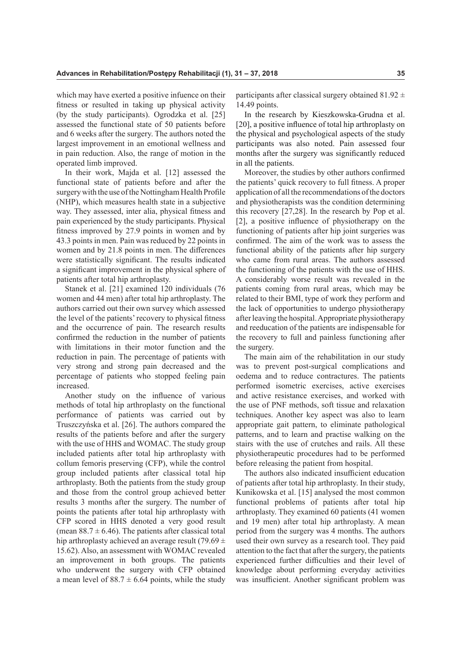which may have exerted a positive infuence on their ftness or resulted in taking up physical activity (by the study participants). Ogrodzka et al. [25] assessed the functional state of 50 patients before and 6 weeks after the surgery. The authors noted the largest improvement in an emotional wellness and in pain reduction. Also, the range of motion in the operated limb improved.

In their work, Majda et al. [12] assessed the functional state of patients before and after the surgery with the use of the Nottingham Health Profle (NHP), which measures health state in a subjective way. They assessed, inter alia, physical ftness and pain experienced by the study participants. Physical ftness improved by 27.9 points in women and by 43.3 points in men. Pain was reduced by 22 points in women and by 21.8 points in men. The diferences were statistically signifcant. The results indicated a signifcant improvement in the physical sphere of patients after total hip arthroplasty.

Stanek et al. [21] examined 120 individuals (76 women and 44 men) after total hip arthroplasty. The authors carried out their own survey which assessed the level of the patients' recovery to physical ftness and the occurrence of pain. The research results confrmed the reduction in the number of patients with limitations in their motor function and the reduction in pain. The percentage of patients with very strong and strong pain decreased and the percentage of patients who stopped feeling pain increased.

Another study on the infuence of various methods of total hip arthroplasty on the functional performance of patients was carried out by Truszczyńska et al. [26]. The authors compared the results of the patients before and after the surgery with the use of HHS and WOMAC. The study group included patients after total hip arthroplasty with collum femoris preserving (CFP), while the control group included patients after classical total hip arthroplasty. Both the patients from the study group and those from the control group achieved better results 3 months after the surgery. The number of points the patients after total hip arthroplasty with CFP scored in HHS denoted a very good result (mean  $88.7 \pm 6.46$ ). The patients after classical total hip arthroplasty achieved an average result (79.69  $\pm$ 15.62). Also, an assessment with WOMAC revealed an improvement in both groups. The patients who underwent the surgery with CFP obtained a mean level of  $88.7 \pm 6.64$  points, while the study

participants after classical surgery obtained  $81.92 \pm$ 14.49 points.

In the research by Kieszkowska-Grudna et al. [20], a positive infuence of total hip arthroplasty on the physical and psychological aspects of the study participants was also noted. Pain assessed four months after the surgery was signifcantly reduced in all the patients.

Moreover, the studies by other authors confrmed the patients' quick recovery to full ftness. A proper application of all the recommendations of the doctors and physiotherapists was the condition determining this recovery [27,28]. In the research by Pop et al. [2], a positive infuence of physiotherapy on the functioning of patients after hip joint surgeries was confrmed. The aim of the work was to assess the functional ability of the patients after hip surgery who came from rural areas. The authors assessed the functioning of the patients with the use of HHS. A considerably worse result was revealed in the patients coming from rural areas, which may be related to their BMI, type of work they perform and the lack of opportunities to undergo physiotherapy after leaving the hospital. Appropriate physiotherapy and reeducation of the patients are indispensable for the recovery to full and painless functioning after the surgery.

The main aim of the rehabilitation in our study was to prevent post-surgical complications and oedema and to reduce contractures. The patients performed isometric exercises, active exercises and active resistance exercises, and worked with the use of PNF methods, soft tissue and relaxation techniques. Another key aspect was also to learn appropriate gait pattern, to eliminate pathological patterns, and to learn and practise walking on the stairs with the use of crutches and rails. All these physiotherapeutic procedures had to be performed before releasing the patient from hospital.

The authors also indicated insufficient education of patients after total hip arthroplasty. In their study, Kunikowska et al. [15] analysed the most common functional problems of patients after total hip arthroplasty. They examined 60 patients (41 women and 19 men) after total hip arthroplasty. A mean period from the surgery was 4 months. The authors used their own survey as a research tool. They paid attention to the fact that after the surgery, the patients experienced further difficulties and their level of knowledge about performing everyday activities was insufficient. Another significant problem was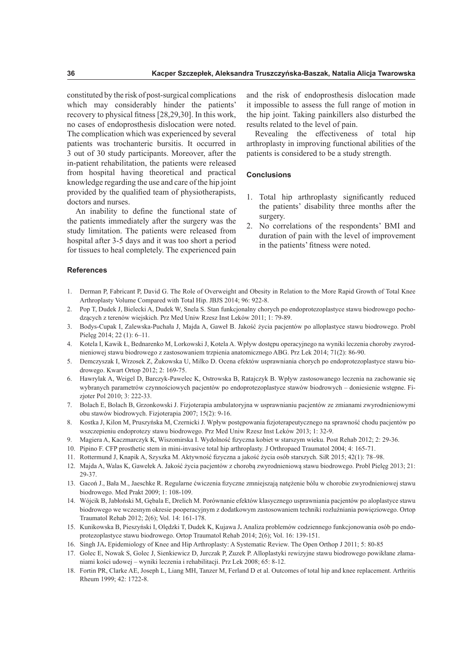constituted by the risk of post-surgical complications which may considerably hinder the patients' recovery to physical ftness [28,29,30]. In this work, no cases of endoprosthesis dislocation were noted. The complication which was experienced by several patients was trochanteric bursitis. It occurred in 3 out of 30 study participants. Moreover, after the in-patient rehabilitation, the patients were released from hospital having theoretical and practical knowledge regarding the use and care of the hip joint provided by the qualifed team of physiotherapists, doctors and nurses.

An inability to defne the functional state of the patients immediately after the surgery was the study limitation. The patients were released from hospital after 3-5 days and it was too short a period for tissues to heal completely. The experienced pain

and the risk of endoprosthesis dislocation made it impossible to assess the full range of motion in the hip joint. Taking painkillers also disturbed the results related to the level of pain.

Revealing the effectiveness of total hip arthroplasty in improving functional abilities of the patients is considered to be a study strength.

### **Conclusions**

- 1. Total hip arthroplasty signifcantly reduced the patients' disability three months after the surgery.
- 2. No correlations of the respondents' BMI and duration of pain with the level of improvement in the patients' ftness were noted.

## **References**

- 1. Derman P, Fabricant P, David G. The Role of Overweight and Obesity in Relation to the More Rapid Growth of Total Knee Arthroplasty Volume Compared with Total Hip. JBJS 2014; 96: 922-8.
- 2. Pop T, Dudek J, Bielecki A, Dudek W, Snela S. Stan funkcjonalny chorych po endoprotezoplastyce stawu biodrowego pochodzących z terenów wiejskich. Prz Med Uniw Rzesz Inst Leków 2011; 1: 79-89.
- 3. Bodys-Cupak I, Zalewska-Puchała J, Majda A, Gaweł B. Jakość życia pacjentów po alloplastyce stawu biodrowego. Probl Pielęg 2014; 22 (1): 6–11.
- 4. Kotela I, Kawik Ł, Bednarenko M, Lorkowski J, Kotela A. Wpływ dostępu operacyjnego na wyniki leczenia choroby zwyrodnieniowej stawu biodrowego z zastosowaniem trzpienia anatomicznego ABG. Prz Lek 2014; 71(2): 86-90.
- 5. Demczyszak I, Wrzosek Z, Żukowska U, Milko D. Ocena efektów usprawniania chorych po endoprotezoplastyce stawu biodrowego. Kwart Ortop 2012; 2: 169-75.
- 6. Hawrylak A, Weigel D, Barczyk-Pawelec K, Ostrowska B, Ratajczyk B. Wpływ zastosowanego leczenia na zachowanie się wybranych parametrów czynnościowych pacjentów po endoprotezoplastyce stawów biodrowych – doniesienie wstępne. Fizjoter Pol 2010; 3: 222-33.
- 7. Bolach E, Bolach B, Grzonkowski J. Fizjoterapia ambulatoryjna w usprawnianiu pacjentów ze zmianami zwyrodnieniowymi obu stawów biodrowych. Fizjoterapia 2007; 15(2): 9-16.
- 8. Kostka J, Kilon M, Pruszyńska M, Czernicki J. Wpływ postępowania fzjoterapeutycznego na sprawność chodu pacjentów po wszczepieniu endoprotezy stawu biodrowego. Prz Med Uniw Rzesz Inst Leków 2013; 1: 32-9.
- 9. Magiera A, Kaczmarczyk K, Wiszomirska I. Wydolność fzyczna kobiet w starszym wieku. Post Rehab 2012; 2: 29-36.
- 10. Pipino F. CFP prosthetic stem in mini-invasive total hip arthroplasty. J Orthropaed Traumatol 2004; 4: 165-71.
- 11. Rottermund J, Knapik A, Szyszka M. Aktywność fzyczna a jakość życia osób starszych. SiR 2015; 42(1): 78–98.
- 12. Majda A, Walas K, Gawełek A. Jakość życia pacjentów z chorobą zwyrodnieniową stawu biodrowego. Probl Pielęg 2013; 21: 29-37.
- 13. Gacoń J., Bała M., Jaeschke R. Regularne ćwiczenia fzyczne zmniejszają natężenie bólu w chorobie zwyrodnieniowej stawu biodrowego. Med Prakt 2009; 1: 108-109.
- 14. Wójcik B, Jabłoński M, Gębala E, Drelich M. Porównanie efektów klasycznego usprawniania pacjentów po aloplastyce stawu biodrowego we wczesnym okresie pooperacyjnym z dodatkowym zastosowaniem techniki rozluźniania powięziowego. Ortop Traumatol Rehab 2012; 2(6); Vol. 14: 161-178.
- 15. Kunikowska B, Pieszyński I, Olędzki T, Dudek K, Kujawa J**.** Analiza problemów codziennego funkcjonowania osób po endoprotezoplastyce stawu biodrowego. Ortop Traumatol Rehab 2014; 2(6); Vol. 16: 139-151.
- 16. Singh JA**.** Epidemiology of Knee and Hip Arthroplasty: A Systematic Review. The Open Orthop J 2011; 5: 80-85
- 17. Golec E, Nowak S, Golec J, Sienkiewicz D, Jurczak P, Zuzek P. Alloplastyki rewizyjne stawu biodrowego powikłane złamaniami kości udowej – wyniki leczenia i rehabilitacji. Prz Lek 2008; 65: 8-12.
- 18. Fortin PR, Clarke AE, Joseph L, Liang MH, Tanzer M, Ferland D et al. Outcomes of total hip and knee replacement. Arthritis Rheum 1999; 42: 1722-8.